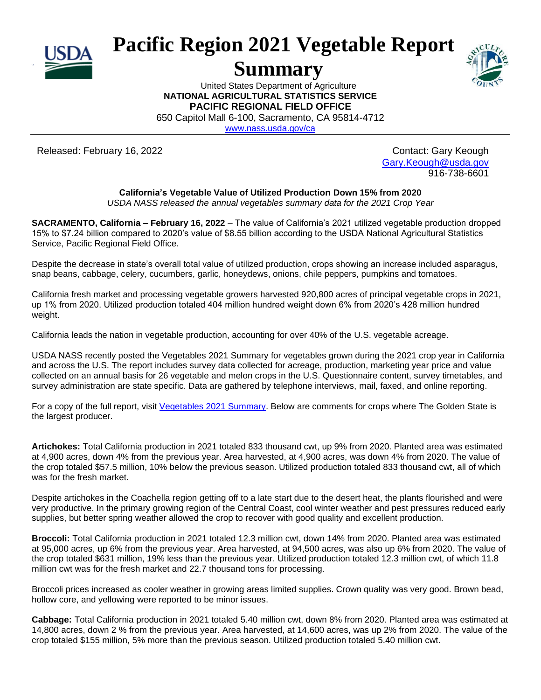

## **Pacific Region 2021 Vegetable Report**

## **Summary**



United States Department of Agriculture **NATIONAL AGRICULTURAL STATISTICS SERVICE PACIFIC REGIONAL FIELD OFFICE**

650 Capitol Mall 6-100, Sacramento, CA 95814-4712

[www.nass.usda.gov/ca](http://www.nass.usda.gov/ca)

Released: February 16, 2022 Contact: Gary Keough

[Gary.Keough@usda.gov](mailto:Gary.Keough@usda.gov) 916-738-6601

## **California's Vegetable Value of Utilized Production Down 15% from 2020**

*USDA NASS released the annual vegetables summary data for the 2021 Crop Year*

**SACRAMENTO, California – February 16, 2022** – The value of California's 2021 utilized vegetable production dropped 15% to \$7.24 billion compared to 2020's value of \$8.55 billion according to the USDA National Agricultural Statistics Service, Pacific Regional Field Office.

Despite the decrease in state's overall total value of utilized production, crops showing an increase included asparagus, snap beans, cabbage, celery, cucumbers, garlic, honeydews, onions, chile peppers, pumpkins and tomatoes.

California fresh market and processing vegetable growers harvested 920,800 acres of principal vegetable crops in 2021, up 1% from 2020. Utilized production totaled 404 million hundred weight down 6% from 2020's 428 million hundred weight.

California leads the nation in vegetable production, accounting for over 40% of the U.S. vegetable acreage.

USDA NASS recently posted the Vegetables 2021 Summary for vegetables grown during the 2021 crop year in California and across the U.S. The report includes survey data collected for acreage, production, marketing year price and value collected on an annual basis for 26 vegetable and melon crops in the U.S. Questionnaire content, survey timetables, and survey administration are state specific. Data are gathered by telephone interviews, mail, faxed, and online reporting.

For a copy of the full report, visit [Vegetables](https://release.nass.usda.gov/reports/vegean22.pdf) 2021 Summary. Below are comments for crops where The Golden State is the largest producer.

**Artichokes:** Total California production in 2021 totaled 833 thousand cwt, up 9% from 2020. Planted area was estimated at 4,900 acres, down 4% from the previous year. Area harvested, at 4,900 acres, was down 4% from 2020. The value of the crop totaled \$57.5 million, 10% below the previous season. Utilized production totaled 833 thousand cwt, all of which was for the fresh market.

Despite artichokes in the Coachella region getting off to a late start due to the desert heat, the plants flourished and were very productive. In the primary growing region of the Central Coast, cool winter weather and pest pressures reduced early supplies, but better spring weather allowed the crop to recover with good quality and excellent production.

**Broccoli:** Total California production in 2021 totaled 12.3 million cwt, down 14% from 2020. Planted area was estimated at 95,000 acres, up 6% from the previous year. Area harvested, at 94,500 acres, was also up 6% from 2020. The value of the crop totaled \$631 million, 19% less than the previous year. Utilized production totaled 12.3 million cwt, of which 11.8 million cwt was for the fresh market and 22.7 thousand tons for processing.

Broccoli prices increased as cooler weather in growing areas limited supplies. Crown quality was very good. Brown bead, hollow core, and yellowing were reported to be minor issues.

**Cabbage:** Total California production in 2021 totaled 5.40 million cwt, down 8% from 2020. Planted area was estimated at 14,800 acres, down 2 % from the previous year. Area harvested, at 14,600 acres, was up 2% from 2020. The value of the crop totaled \$155 million, 5% more than the previous season. Utilized production totaled 5.40 million cwt.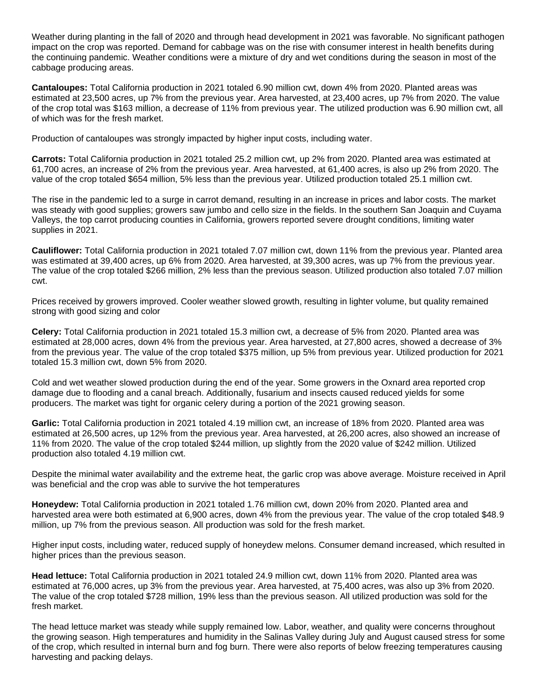Weather during planting in the fall of 2020 and through head development in 2021 was favorable. No significant pathogen impact on the crop was reported. Demand for cabbage was on the rise with consumer interest in health benefits during the continuing pandemic. Weather conditions were a mixture of dry and wet conditions during the season in most of the cabbage producing areas.

**Cantaloupes:** Total California production in 2021 totaled 6.90 million cwt, down 4% from 2020. Planted areas was estimated at 23,500 acres, up 7% from the previous year. Area harvested, at 23,400 acres, up 7% from 2020. The value of the crop total was \$163 million, a decrease of 11% from previous year. The utilized production was 6.90 million cwt, all of which was for the fresh market.

Production of cantaloupes was strongly impacted by higher input costs, including water.

**Carrots:** Total California production in 2021 totaled 25.2 million cwt, up 2% from 2020. Planted area was estimated at 61,700 acres, an increase of 2% from the previous year. Area harvested, at 61,400 acres, is also up 2% from 2020. The value of the crop totaled \$654 million, 5% less than the previous year. Utilized production totaled 25.1 million cwt.

The rise in the pandemic led to a surge in carrot demand, resulting in an increase in prices and labor costs. The market was steady with good supplies; growers saw jumbo and cello size in the fields. In the southern San Joaquin and Cuyama Valleys, the top carrot producing counties in California, growers reported severe drought conditions, limiting water supplies in 2021.

**Cauliflower:** Total California production in 2021 totaled 7.07 million cwt, down 11% from the previous year. Planted area was estimated at 39,400 acres, up 6% from 2020. Area harvested, at 39,300 acres, was up 7% from the previous year. The value of the crop totaled \$266 million, 2% less than the previous season. Utilized production also totaled 7.07 million cwt.

Prices received by growers improved. Cooler weather slowed growth, resulting in lighter volume, but quality remained strong with good sizing and color

**Celery:** Total California production in 2021 totaled 15.3 million cwt, a decrease of 5% from 2020. Planted area was estimated at 28,000 acres, down 4% from the previous year. Area harvested, at 27,800 acres, showed a decrease of 3% from the previous year. The value of the crop totaled \$375 million, up 5% from previous year. Utilized production for 2021 totaled 15.3 million cwt, down 5% from 2020.

Cold and wet weather slowed production during the end of the year. Some growers in the Oxnard area reported crop damage due to flooding and a canal breach. Additionally, fusarium and insects caused reduced yields for some producers. The market was tight for organic celery during a portion of the 2021 growing season.

**Garlic:** Total California production in 2021 totaled 4.19 million cwt, an increase of 18% from 2020. Planted area was estimated at 26,500 acres, up 12% from the previous year. Area harvested, at 26,200 acres, also showed an increase of 11% from 2020. The value of the crop totaled \$244 million, up slightly from the 2020 value of \$242 million. Utilized production also totaled 4.19 million cwt.

Despite the minimal water availability and the extreme heat, the garlic crop was above average. Moisture received in April was beneficial and the crop was able to survive the hot temperatures

**Honeydew:** Total California production in 2021 totaled 1.76 million cwt, down 20% from 2020. Planted area and harvested area were both estimated at 6,900 acres, down 4% from the previous year. The value of the crop totaled \$48.9 million, up 7% from the previous season. All production was sold for the fresh market.

Higher input costs, including water, reduced supply of honeydew melons. Consumer demand increased, which resulted in higher prices than the previous season.

**Head lettuce:** Total California production in 2021 totaled 24.9 million cwt, down 11% from 2020. Planted area was estimated at 76,000 acres, up 3% from the previous year. Area harvested, at 75,400 acres, was also up 3% from 2020. The value of the crop totaled \$728 million, 19% less than the previous season. All utilized production was sold for the fresh market.

The head lettuce market was steady while supply remained low. Labor, weather, and quality were concerns throughout the growing season. High temperatures and humidity in the Salinas Valley during July and August caused stress for some of the crop, which resulted in internal burn and fog burn. There were also reports of below freezing temperatures causing harvesting and packing delays.